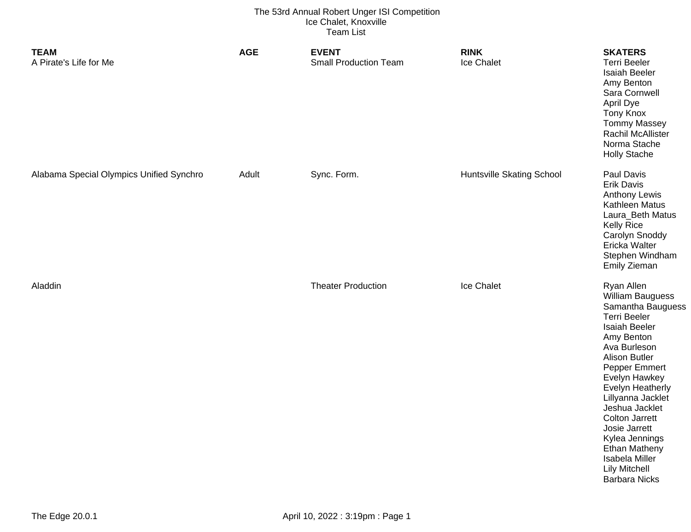| <b>TEAM</b><br>A Pirate's Life for Me    | <b>AGE</b> | <b>EVENT</b><br><b>Small Production Team</b> | <b>RINK</b><br><b>Ice Chalet</b> | <b>SKATERS</b><br><b>Terri Beeler</b><br>Isaiah Beeler<br>Amy Benton<br>Sara Cornwell<br>April Dye<br><b>Tony Knox</b><br><b>Tommy Massey</b><br><b>Rachil McAllister</b><br>Norma Stache<br><b>Holly Stache</b>                                                                                                                                                                                            |
|------------------------------------------|------------|----------------------------------------------|----------------------------------|-------------------------------------------------------------------------------------------------------------------------------------------------------------------------------------------------------------------------------------------------------------------------------------------------------------------------------------------------------------------------------------------------------------|
| Alabama Special Olympics Unified Synchro | Adult      | Sync. Form.                                  | <b>Huntsville Skating School</b> | Paul Davis<br><b>Erik Davis</b><br><b>Anthony Lewis</b><br>Kathleen Matus<br>Laura_Beth Matus<br><b>Kelly Rice</b><br>Carolyn Snoddy<br>Ericka Walter<br>Stephen Windham<br><b>Emily Zieman</b>                                                                                                                                                                                                             |
| Aladdin                                  |            | <b>Theater Production</b>                    | Ice Chalet                       | Ryan Allen<br>William Bauguess<br>Samantha Bauguess<br><b>Terri Beeler</b><br>Isaiah Beeler<br>Amy Benton<br>Ava Burleson<br><b>Alison Butler</b><br>Pepper Emmert<br>Evelyn Hawkey<br><b>Evelyn Heatherly</b><br>Lillyanna Jacklet<br>Jeshua Jacklet<br><b>Colton Jarrett</b><br>Josie Jarrett<br>Kylea Jennings<br><b>Ethan Matheny</b><br>Isabela Miller<br><b>Lily Mitchell</b><br><b>Barbara Nicks</b> |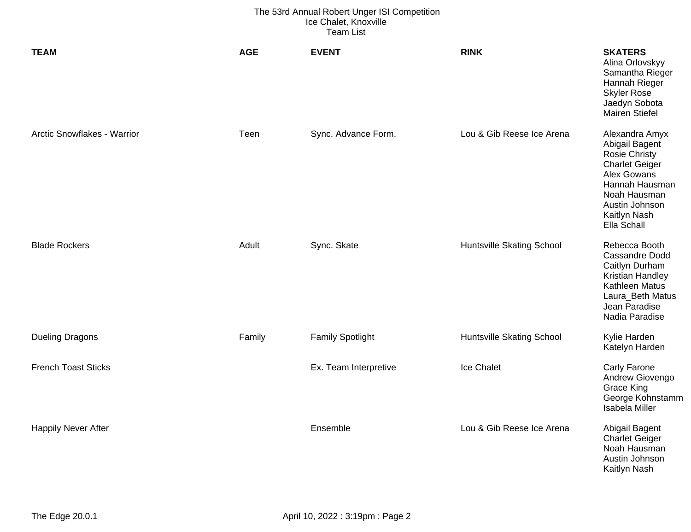| <b>TEAM</b>                 | <b>AGE</b> | <b>EVENT</b>            | <b>RINK</b>                      | <b>SKATERS</b><br>Alina Orlovskyy<br>Samantha Rieger<br>Hannah Rieger<br><b>Skyler Rose</b><br>Jaedyn Sobota<br><b>Mairen Stiefel</b>                                               |
|-----------------------------|------------|-------------------------|----------------------------------|-------------------------------------------------------------------------------------------------------------------------------------------------------------------------------------|
| Arctic Snowflakes - Warrior | Teen       | Sync. Advance Form.     | Lou & Gib Reese Ice Arena        | Alexandra Amyx<br>Abigail Bagent<br><b>Rosie Christy</b><br><b>Charlet Geiger</b><br>Alex Gowans<br>Hannah Hausman<br>Noah Hausman<br>Austin Johnson<br>Kaitlyn Nash<br>Ella Schall |
| <b>Blade Rockers</b>        | Adult      | Sync. Skate             | <b>Huntsville Skating School</b> | Rebecca Booth<br><b>Cassandre Dodd</b><br>Caitlyn Durham<br>Kristian Handley<br>Kathleen Matus<br>Laura_Beth Matus<br>Jean Paradise<br>Nadia Paradise                               |
| <b>Dueling Dragons</b>      | Family     | <b>Family Spotlight</b> | <b>Huntsville Skating School</b> | Kylie Harden<br>Katelyn Harden                                                                                                                                                      |
| <b>French Toast Sticks</b>  |            | Ex. Team Interpretive   | Ice Chalet                       | Carly Farone<br>Andrew Giovengo<br><b>Grace King</b><br>George Kohnstamm<br><b>Isabela Miller</b>                                                                                   |
| <b>Happily Never After</b>  |            | Ensemble                | Lou & Gib Reese Ice Arena        | Abigail Bagent<br><b>Charlet Geiger</b><br>Noah Hausman<br>Austin Johnson<br>Kaitlyn Nash                                                                                           |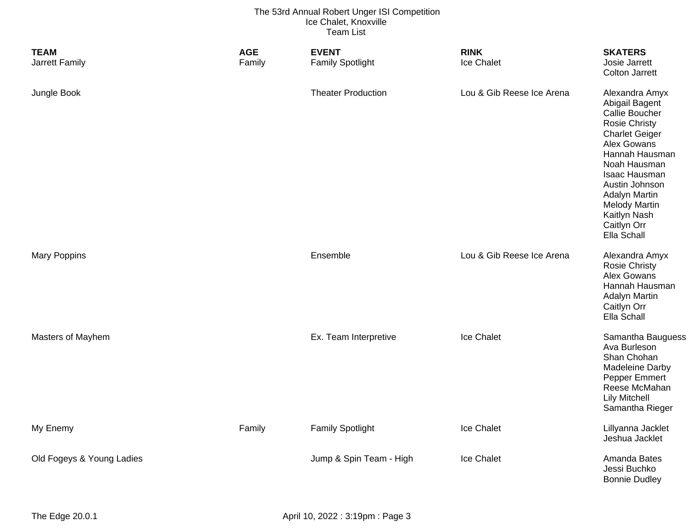| <b>TEAM</b><br>Jarrett Family | <b>AGE</b><br>Family | <b>EVENT</b><br><b>Family Spotlight</b> | <b>RINK</b><br>Ice Chalet | <b>SKATERS</b><br>Josie Jarrett<br><b>Colton Jarrett</b>                                                                                                                                                                                                                              |
|-------------------------------|----------------------|-----------------------------------------|---------------------------|---------------------------------------------------------------------------------------------------------------------------------------------------------------------------------------------------------------------------------------------------------------------------------------|
| Jungle Book                   |                      | <b>Theater Production</b>               | Lou & Gib Reese Ice Arena | Alexandra Amyx<br>Abigail Bagent<br>Callie Boucher<br><b>Rosie Christy</b><br><b>Charlet Geiger</b><br>Alex Gowans<br>Hannah Hausman<br>Noah Hausman<br>Isaac Hausman<br>Austin Johnson<br><b>Adalyn Martin</b><br><b>Melody Martin</b><br>Kaitlyn Nash<br>Caitlyn Orr<br>Ella Schall |
| <b>Mary Poppins</b>           |                      | Ensemble                                | Lou & Gib Reese Ice Arena | Alexandra Amyx<br><b>Rosie Christy</b><br>Alex Gowans<br>Hannah Hausman<br><b>Adalyn Martin</b><br>Caitlyn Orr<br>Ella Schall                                                                                                                                                         |
| Masters of Mayhem             |                      | Ex. Team Interpretive                   | Ice Chalet                | Samantha Bauguess<br>Ava Burleson<br>Shan Chohan<br><b>Madeleine Darby</b><br>Pepper Emmert<br>Reese McMahan<br><b>Lily Mitchell</b><br>Samantha Rieger                                                                                                                               |
| My Enemy                      | Family               | <b>Family Spotlight</b>                 | Ice Chalet                | Lillyanna Jacklet<br>Jeshua Jacklet                                                                                                                                                                                                                                                   |
| Old Fogeys & Young Ladies     |                      | Jump & Spin Team - High                 | Ice Chalet                | Amanda Bates<br>Jessi Buchko<br><b>Bonnie Dudley</b>                                                                                                                                                                                                                                  |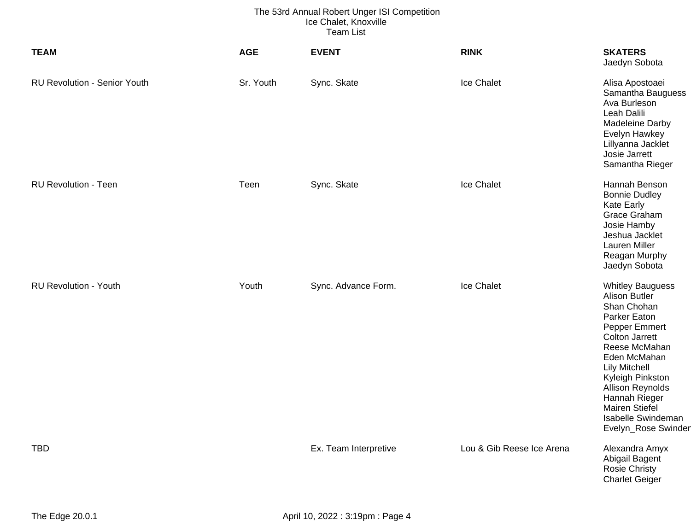| <b>TEAM</b>                         | <b>AGE</b> | <b>EVENT</b>          | <b>RINK</b>               | <b>SKATERS</b><br>Jaedyn Sobota                                                                                                                                                                                                                                                                                         |
|-------------------------------------|------------|-----------------------|---------------------------|-------------------------------------------------------------------------------------------------------------------------------------------------------------------------------------------------------------------------------------------------------------------------------------------------------------------------|
| <b>RU Revolution - Senior Youth</b> | Sr. Youth  | Sync. Skate           | Ice Chalet                | Alisa Apostoaei<br>Samantha Bauguess<br>Ava Burleson<br>Leah Dalili<br>Madeleine Darby<br>Evelyn Hawkey<br>Lillyanna Jacklet<br>Josie Jarrett<br>Samantha Rieger                                                                                                                                                        |
| <b>RU Revolution - Teen</b>         | Teen       | Sync. Skate           | Ice Chalet                | Hannah Benson<br><b>Bonnie Dudley</b><br>Kate Early<br>Grace Graham<br>Josie Hamby<br>Jeshua Jacklet<br>Lauren Miller<br>Reagan Murphy<br>Jaedyn Sobota                                                                                                                                                                 |
| <b>RU Revolution - Youth</b>        | Youth      | Sync. Advance Form.   | Ice Chalet                | <b>Whitley Bauguess</b><br><b>Alison Butler</b><br>Shan Chohan<br>Parker Eaton<br>Pepper Emmert<br><b>Colton Jarrett</b><br>Reese McMahan<br>Eden McMahan<br><b>Lily Mitchell</b><br>Kyleigh Pinkston<br><b>Allison Reynolds</b><br>Hannah Rieger<br><b>Mairen Stiefel</b><br>Isabelle Swindeman<br>Evelyn_Rose Swinder |
| <b>TBD</b>                          |            | Ex. Team Interpretive | Lou & Gib Reese Ice Arena | Alexandra Amyx<br>Abigail Bagent<br>Rosie Christy<br><b>Charlet Geiger</b>                                                                                                                                                                                                                                              |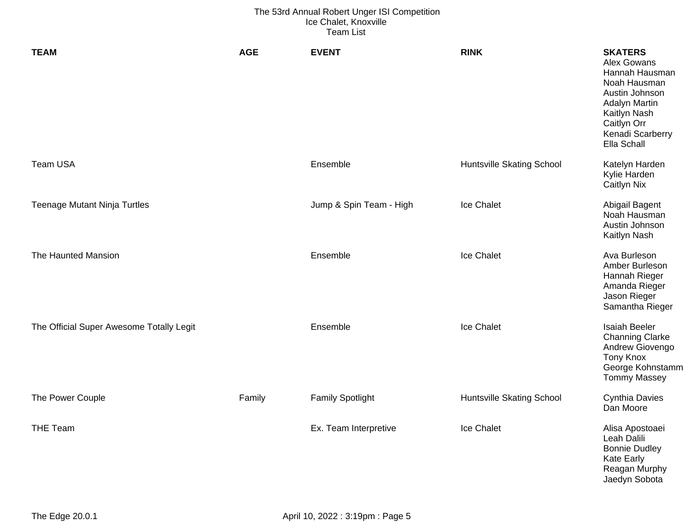| <b>TEAM</b>                              | <b>AGE</b> | <b>EVENT</b>            | <b>RINK</b>                      | <b>SKATERS</b><br>Alex Gowans<br>Hannah Hausman<br>Noah Hausman<br>Austin Johnson<br><b>Adalyn Martin</b><br>Kaitlyn Nash<br>Caitlyn Orr<br>Kenadi Scarberry<br>Ella Schall |
|------------------------------------------|------------|-------------------------|----------------------------------|-----------------------------------------------------------------------------------------------------------------------------------------------------------------------------|
| Team USA                                 |            | Ensemble                | <b>Huntsville Skating School</b> | Katelyn Harden<br>Kylie Harden<br>Caitlyn Nix                                                                                                                               |
| <b>Teenage Mutant Ninja Turtles</b>      |            | Jump & Spin Team - High | Ice Chalet                       | Abigail Bagent<br>Noah Hausman<br>Austin Johnson<br>Kaitlyn Nash                                                                                                            |
| The Haunted Mansion                      |            | Ensemble                | Ice Chalet                       | Ava Burleson<br>Amber Burleson<br>Hannah Rieger<br>Amanda Rieger<br>Jason Rieger<br>Samantha Rieger                                                                         |
| The Official Super Awesome Totally Legit |            | Ensemble                | <b>Ice Chalet</b>                | <b>Isaiah Beeler</b><br><b>Channing Clarke</b><br>Andrew Giovengo<br><b>Tony Knox</b><br>George Kohnstamm<br><b>Tommy Massey</b>                                            |
| The Power Couple                         | Family     | <b>Family Spotlight</b> | <b>Huntsville Skating School</b> | <b>Cynthia Davies</b><br>Dan Moore                                                                                                                                          |
| <b>THE Team</b>                          |            | Ex. Team Interpretive   | Ice Chalet                       | Alisa Apostoaei<br>Leah Dalili<br><b>Bonnie Dudley</b><br><b>Kate Early</b><br>Reagan Murphy<br>Jaedyn Sobota                                                               |